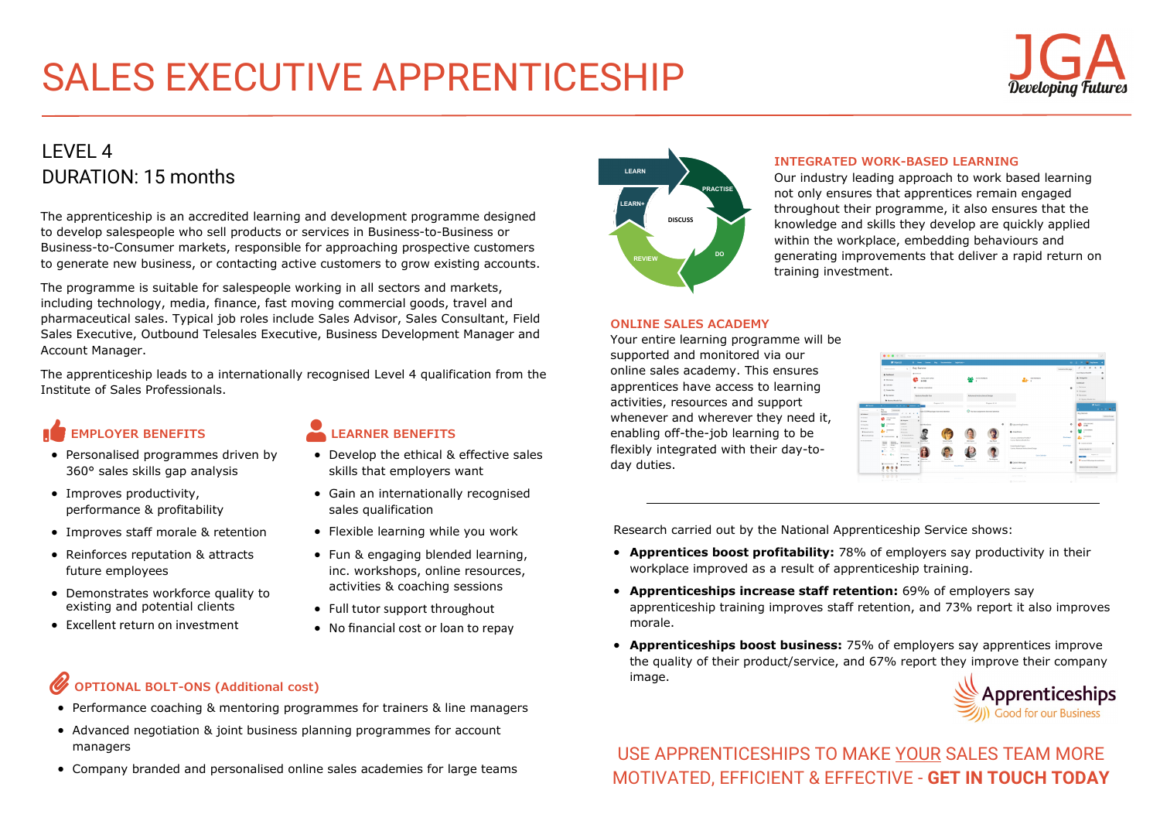# SALES EXECUTIVE APPRENTICESHIP

### LEVEL 4 DURATION: 15 months

The apprenticeship is an accredited learning and development programme designed to develop salespeople who sell products or services in Business-to-Business or Business-to-Consumer markets, responsible for approaching prospective customers to generate new business, or contacting active customers to grow existing accounts.

The programme is suitable for salespeople working in all sectors and markets, including technology, media, finance, fast moving commercial goods, travel and pharmaceutical sales. Typical job roles include Sales Advisor, Sales Consultant, Field Sales Executive, Outbound Telesales Executive, Business Development Manager and Account Manager.

The apprenticeship leads to a internationally recognised Level 4 qualification from the Institute of Sales Professionals.

## **EMPLOYER BENEFITS**

- Personalised programmes driven by 360° sales skills gap analysis
- Improves productivity, performance & profitability
- Improves staff morale & retention
- Reinforces reputation & attracts future employees
- Demonstrates workforce quality to existing and potential clients
- Excellent return on investment

#### **LEARNER BENEFITS**

- Develop the ethical & effective sales skills that employers want
- Gain an internationally recognised sales qualification
- Flexible learning while you work
- Fun & engaging blended learning, inc. workshops, online resources, activities & coaching sessions
- Full tutor support throughout
- No financial cost or loan to repay

## **OPTIONAL BOLT-ONS (Additional cost)**

- Performance coaching & mentoring programmes for trainers & line managers
- Advanced negotiation & joint business planning programmes for account managers
- Company branded and personalised online sales academies for large teams



#### **INTEGRATED WORK-BASED LEARNING**

Our industry leading approach to work based learning not only ensures that apprentices remain engaged throughout their programme, it also ensures that the knowledge and skills they develop are quickly applied within the workplace, embedding behaviours and generating improvements that deliver a rapid return on training investment.

#### **ONLINE SALES ACADEMY**

Your entire learning programme will be supported and monitored via our online sales academy. This ensures apprentices have access to learning activities, resources and support whenever and wherever they need it, enabling off-the-job learning to be flexibly integrated with their day-today duties.



Research carried out by the National Apprenticeship Service shows:

- **Apprentices boost profitability:** 78% of employers say productivity in their workplace improved as a result of apprenticeship training.
- **Apprenticeships increase staff retention:** 69% of employers say apprenticeship training improves staff retention, and 73% report it also improves morale.
- **Apprenticeships boost business:** 75% of employers say apprentices improve the quality of their product/service, and 67% report they improve their company image.



USE APPRENTICESHIPS TO MAKE YOUR SALES TEAM MORE MOTIVATED, EFFICIENT & EFFECTIVE - **[GET IN TOUCH TODAY](mailto:sales@jga-group.co.uk)**